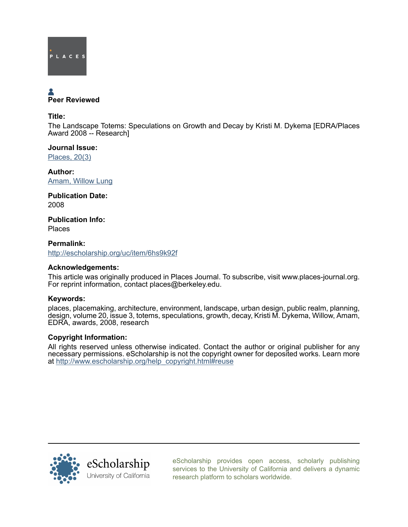

# Peer Reviewed

Title:

The Landscape Totems: Speculations on Growth and Decay by Kristi M. Dykema [EDRA/Places Award 2008 -- Research]

Journal Issue: [Places, 20\(3\)](http://escholarship.org/uc/ced_places?volume=20;issue=3)

Author: [Amam, Willow Lung](http://escholarship.org/uc/search?creator=Amam%2C%20Willow%20Lung)

Publication Date: 2008

Publication Info: Places

Permalink: <http://escholarship.org/uc/item/6hs9k92f>

# Acknowledgements:

This article was originally produced in Places Journal. To subscribe, visit www.places-journal.org. For reprint information, contact places@berkeley.edu.

# Keywords:

places, placemaking, architecture, environment, landscape, urban design, public realm, planning, design, volume 20, issue 3, totems, speculations, growth, decay, Kristi M. Dykema, Willow, Amam, EDRA, awards, 2008, research

# Copyright Information:

All rights reserved unless otherwise indicated. Contact the author or original publisher for any necessary permissions. eScholarship is not the copyright owner for deposited works. Learn more at [http://www.escholarship.org/help\\_copyright.html#reuse](http://www.escholarship.org/help_copyright.html#reuse)



[eScholarship provides open access, scholarly publishing](http://escholarship.org) [services to the University of California and delivers a dynamic](http://escholarship.org) [research platform to scholars worldwide.](http://escholarship.org)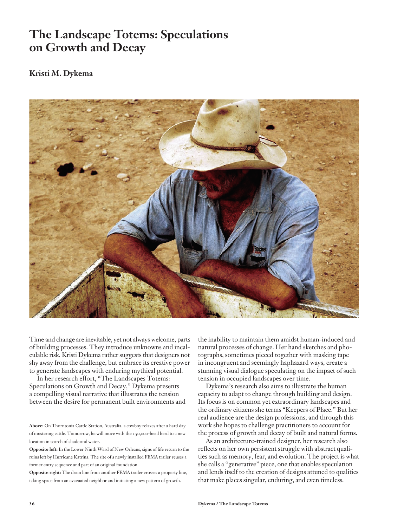# **The Landscape Totems: Speculations on Growth and Decay**

# **Kristi M. Dykema**



Time and change are inevitable, yet not always welcome, parts of building processes. They introduce unknowns and incalculable risk. Kristi Dykema rather suggests that designers not shy away from the challenge, but embrace its creative power to generate landscapes with enduring mythical potential.

In her research effort, "The Landscapes Totems: Speculations on Growth and Decay," Dykema presents a compelling visual narrative that illustrates the tension between the desire for permanent built environments and

**Opposite right:** The drain line from another FEMA trailer crosses a property line, taking space from an evacuated neighbor and initiating a new pattern of growth.

the inability to maintain them amidst human-induced and natural processes of change. Her hand sketches and photographs, sometimes pieced together with masking tape in incongruent and seemingly haphazard ways, create a stunning visual dialogue speculating on the impact of such tension in occupied landscapes over time.

Dykema's research also aims to illustrate the human capacity to adapt to change through building and design. Its focus is on common yet extraordinary landscapes and the ordinary citizens she terms "Keepers of Place." But her real audience are the design professions, and through this work she hopes to challenge practitioners to account for the process of growth and decay of built and natural forms.

As an architecture-trained designer, her research also reflects on her own persistent struggle with abstract qualities such as memory, fear, and evolution. The project is what she calls a "generative" piece, one that enables speculation and lends itself to the creation of designs attuned to qualities that make places singular, enduring, and even timeless.

**Above:** On Thorntonia Cattle Station, Australia, a cowboy relaxes after a hard day of mustering cattle. Tomorrow, he will move with the 150,000-head herd to a new location in search of shade and water.

**Opposite left:** In the Lower Ninth Ward of New Orleans, signs of life return to the ruins left by Hurricane Katrina. The site of a newly installed FEMA trailer reuses a former entry sequence and part of an original foundation.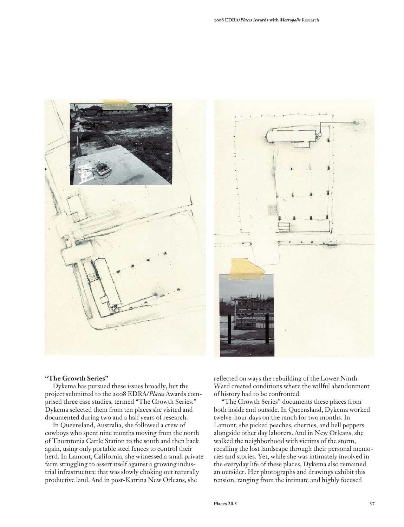



#### **"The Growth Series"**

Dykema has pursued these issues broadly, but the project submitted to the 2008 EDRA/*Places* Awards comprised three case studies, termed "The Growth Series." Dykema selected them from ten places she visited and documented during two and a half years of research.

In Queensland, Australia, she followed a crew of cowboys who spent nine months moving from the north of Thorntonia Cattle Station to the south and then back again, using only portable steel fences to control their herd. In Lamont, California, she witnessed a small private farm struggling to assert itself against a growing industrial infrastructure that was slowly choking out naturally productive land. And in post-Katrina New Orleans, she

reflected on ways the rebuilding of the Lower Ninth Ward created conditions where the willful abandonment of history had to be confronted.

"The Growth Series" documents these places from both inside and outside. In Queensland, Dykema worked twelve-hour days on the ranch for two months. In Lamont, she picked peaches, cherries, and bell peppers alongside other day laborers. And in New Orleans, she walked the neighborhood with victims of the storm, recalling the lost landscape through their personal memories and stories. Yet, while she was intimately involved in the everyday life of these places, Dykema also remained an outsider. Her photographs and drawings exhibit this tension, ranging from the intimate and highly focused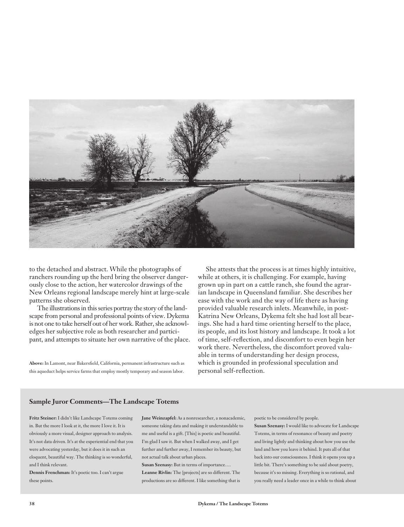

to the detached and abstract. While the photographs of ranchers rounding up the herd bring the observer dangerously close to the action, her watercolor drawings of the New Orleans regional landscape merely hint at large-scale patterns she observed.

The illustrations in this series portray the story of the landscape from personal and professional points of view. Dykema is not one to take herself out of her work. Rather, she acknowledges her subjective role as both researcher and participant, and attempts to situate her own narrative of the place.

**Above:** In Lamont, near Bakersfield, California, permanent infrastructure such as this aqueduct helps service farms that employ mostly temporary and season labor.

She attests that the process is at times highly intuitive, while at others, it is challenging. For example, having grown up in part on a cattle ranch, she found the agrarian landscape in Queensland familiar. She describes her ease with the work and the way of life there as having provided valuable research inlets. Meanwhile, in post-Katrina New Orleans, Dykema felt she had lost all bearings. She had a hard time orienting herself to the place, its people, and its lost history and landscape. It took a lot of time, self-reflection, and discomfort to even begin her work there. Nevertheless, the discomfort proved valuable in terms of understanding her design process, which is grounded in professional speculation and personal self-reflection.

#### **Sample Juror Comments—The Landscape Totems**

**Fritz Steiner:** I didn't like Landscape Totems coming in. But the more I look at it, the more I love it. It is obviously a more visual, designer approach to analysis. It's not data driven. It's at the experiential end that you were advocating yesterday, but it does it in such an eloquent, beautiful way. The thinking is so wonderful, and I think relevant.

**Dennis Frenchman:** It's poetic too. I can't argue these points.

**Jane Weinzapfel:** As a nonresearcher, a nonacademic, someone taking data and making it understandable to me and useful is a gift. [This] is poetic and beautiful. I'm glad I saw it. But when I walked away, and I get further and further away, I remember its beauty, but not actual talk about urban places.

**Susan Szenasy:** But in terms of importance…. **Leanne Rivlin:** The [projects] are so different. The productions are so different. I like something that is poetic to be considered by people.

**Susan Szenasy:** I would like to advocate for Landscape Totems, in terms of resonance of beauty and poetry and living lightly and thinking about how you use the land and how you leave it behind. It puts all of that back into our consciousness. I think it opens you up a little bit. There's something to be said about poetry, because it's so missing. Everything is so rational, and you really need a leader once in a while to think about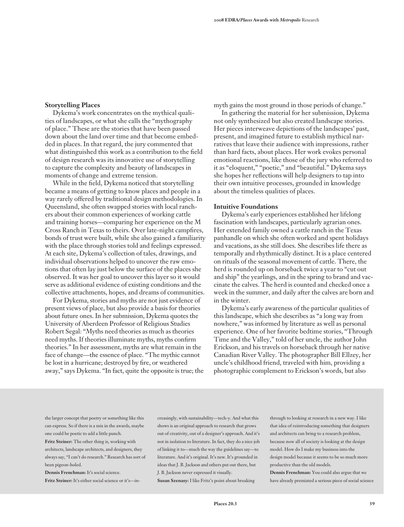#### **Storytelling Places**

Dykema's work concentrates on the mythical qualities of landscapes, or what she calls the "mythography of place." These are the stories that have been passed down about the land over time and that become embedded in places. In that regard, the jury commented that what distinguished this work as a contribution to the field of design research was its innovative use of storytelling to capture the complexity and beauty of landscapes in moments of change and extreme tension.

While in the field, Dykema noticed that storytelling became a means of getting to know places and people in a way rarely offered by traditional design methodologies. In Queensland, she often swapped stories with local ranchers about their common experiences of working cattle and training horses—comparing her experience on the M Cross Ranch in Texas to theirs. Over late-night campfires, bonds of trust were built, while she also gained a familiarity with the place through stories told and feelings expressed. At each site, Dykema's collection of tales, drawings, and individual observations helped to uncover the raw emotions that often lay just below the surface of the places she observed. It was her goal to uncover this layer so it would serve as additional evidence of existing conditions and the collective attachments, hopes, and dreams of communities.

For Dykema, stories and myths are not just evidence of present views of place, but also provide a basis for theories about future ones. In her submission, Dykema quotes the University of Aberdeen Professor of Religious Studies Robert Segal: "Myths need theories as much as theories need myths. If theories illuminate myths, myths confirm theories." In her assessment, myths are what remain in the face of change—the essence of place. "The mythic cannot be lost in a hurricane; destroyed by fire, or weathered away," says Dykema. "In fact, quite the opposite is true; the myth gains the most ground in those periods of change."

In gathering the material for her submission, Dykema not only synthesized but also created landscape stories. Her pieces interweave depictions of the landscapes' past, present, and imagined future to establish mythical narratives that leave their audience with impressions, rather than hard facts, about places. Her work evokes personal emotional reactions, like those of the jury who referred to it as "eloquent," "poetic," and "beautiful." Dykema says she hopes her reflections will help designers to tap into their own intuitive processes, grounded in knowledge about the timeless qualities of places.

#### **Intuitive Foundations**

Dykema's early experiences established her lifelong fascination with landscapes, particularly agrarian ones. Her extended family owned a cattle ranch in the Texas panhandle on which she often worked and spent holidays and vacations, as she still does. She describes life there as temporally and rhythmically distinct. It is a place centered on rituals of the seasonal movement of cattle. There, the herd is rounded up on horseback twice a year to "cut out and ship" the yearlings, and in the spring to brand and vaccinate the calves. The herd is counted and checked once a week in the summer, and daily after the calves are born and in the winter.

Dykema's early awareness of the particular qualities of this landscape, which she describes as "a long way from nowhere," was informed by literature as well as personal experience. One of her favorite bedtime stories, "Through Time and the Valley," told of her uncle, the author John Erickson, and his travels on horseback through her native Canadian River Valley. The photographer Bill Ellzey, her uncle's childhood friend, traveled with him, providing a photographic complement to Erickson's words, but also

the larger concept that poetry or something like this can express. So if there is a mix in the awards, maybe one could be poetic to add a little punch.

**Fritz Steiner:** The other thing is, working with architects, landscape architects, and designers, they always say, "I can't do research." Research has sort of been pigeon-holed.

**Dennis Frenchman:** It's social science. **Fritz Steiner:** It's either social science or it's—in-

creasingly, with sustainability—tech-y. And what this shows is an original approach to research that grows out of creativity, out of a designer's approach. And it's not in isolation to literature. In fact, they do a nice job of linking it to—much the way the guidelines say—to literature. And it's original. It's new. It's grounded in ideas that J. B. Jackson and others put out there, but J. B. Jackson never expressed it visually.

**Susan Szenasy:** I like Fritz's point about breaking

through to looking at research in a new way. I like that idea of reintroducing something that designers and architects can bring to a research problem, because now all of society is looking at the design model. How do I make my business into the design model because it seems to be so much more productive than the old models.

**Dennis Frenchman:** You could also argue that we have already premiated a serious piece of social science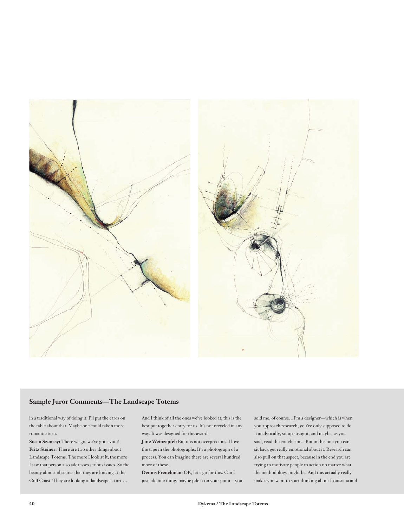

### **Sample Juror Comments—The Landscape Totems**

in a traditional way of doing it. I'll put the cards on the table about that. Maybe one could take a more romantic turn.

**Susan Szenasy:** There we go, we've got a vote! **Fritz Steiner:** There are two other things about Landscape Totems. The more I look at it, the more I saw that person also addresses serious issues. So the beauty almost obscures that they are looking at the Gulf Coast. They are looking at landscape, at art.…

And I think of all the ones we've looked at, this is the best put together entry for us. It's not recycled in any way. It was designed for this award.

**Jane Weinzapfel:** But it is not overprecious. I love the tape in the photographs. It's a photograph of a process. You can imagine there are several hundred more of these.

**Dennis Frenchman:** OK, let's go for this. Can I just add one thing, maybe pile it on your point—you sold me, of course…I'm a designer—which is when you approach research, you're only supposed to do it analytically, sit up straight, and maybe, as you said, read the conclusions. But in this one you can sit back get really emotional about it. Research can also pull on that aspect, because in the end you are trying to motivate people to action no matter what the methodology might be. And this actually really makes you want to start thinking about Louisiana and